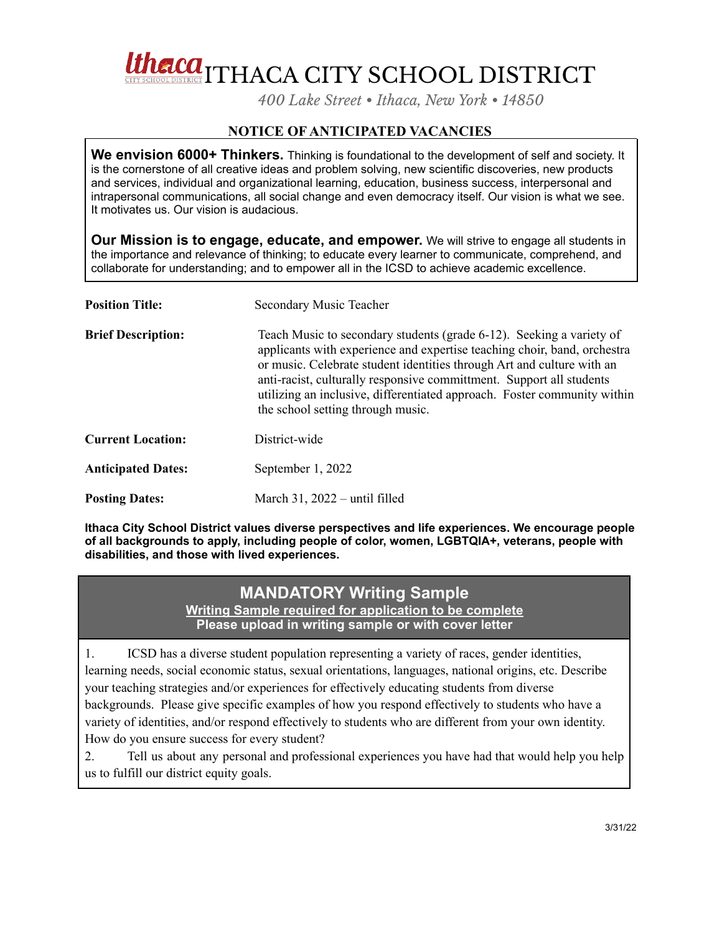Utherca<sub>ll T</sub>HACA CITY SCHOOL DISTRICT

*400 Lake Street • Ithaca, New York • 14850*

## **NOTICE OF ANTICIPATED VACANCIES**

**We envision 6000+ Thinkers.** Thinking is foundational to the development of self and society. It is the cornerstone of all creative ideas and problem solving, new scientific discoveries, new products and services, individual and organizational learning, education, business success, interpersonal and intrapersonal communications, all social change and even democracy itself. Our vision is what we see. It motivates us. Our vision is audacious.

**Our Mission is to engage, educate, and empower.** We will strive to engage all students in the importance and relevance of thinking; to educate every learner to communicate, comprehend, and collaborate for understanding; and to empower all in the ICSD to achieve academic excellence.

| <b>Position Title:</b>    | Secondary Music Teacher                                                                                                                                                                                                                                                                                                                                                                                             |
|---------------------------|---------------------------------------------------------------------------------------------------------------------------------------------------------------------------------------------------------------------------------------------------------------------------------------------------------------------------------------------------------------------------------------------------------------------|
| <b>Brief Description:</b> | Teach Music to secondary students (grade 6-12). Seeking a variety of<br>applicants with experience and expertise teaching choir, band, orchestra<br>or music. Celebrate student identities through Art and culture with an<br>anti-racist, culturally responsive committment. Support all students<br>utilizing an inclusive, differentiated approach. Foster community within<br>the school setting through music. |
| <b>Current Location:</b>  | District-wide                                                                                                                                                                                                                                                                                                                                                                                                       |
| <b>Anticipated Dates:</b> | September 1, 2022                                                                                                                                                                                                                                                                                                                                                                                                   |
| <b>Posting Dates:</b>     | March $31$ , $2022 - \text{until filled}$                                                                                                                                                                                                                                                                                                                                                                           |

**Ithaca City School District values diverse perspectives and life experiences. We encourage people of all backgrounds to apply, including people of color, women, LGBTQIA+, veterans, people with disabilities, and those with lived experiences.**

## **MANDATORY Writing Sample**

**Writing Sample required for application to be complete Please upload in writing sample or with cover letter**

1. ICSD has a diverse student population representing a variety of races, gender identities, learning needs, social economic status, sexual orientations, languages, national origins, etc. Describe your teaching strategies and/or experiences for effectively educating students from diverse backgrounds. Please give specific examples of how you respond effectively to students who have a variety of identities, and/or respond effectively to students who are different from your own identity. How do you ensure success for every student?

2. Tell us about any personal and professional experiences you have had that would help you help us to fulfill our district equity goals.